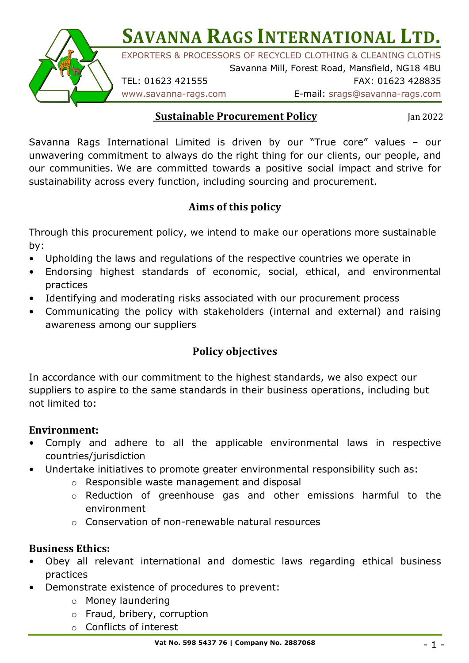

**SAVANNA RAGS INTERNATIONAL LTD.** 

EXPORTERS & PROCESSORS OF RECYCLED CLOTHING & CLEANING CLOTHS

Savanna Mill, Forest Road, Mansfield, NG18 4BU TEL: 01623 421555 FAX: 01623 428835

www.savanna-rags.com E-mail: srags@savanna-rags.com

#### **Sustainable Procurement Policy**

Jan 2022

Savanna Rags International Limited is driven by our "True core" values – our unwavering commitment to always do the right thing for our clients, our people, and our communities. We are committed towards a positive social impact and strive for sustainability across every function, including sourcing and procurement.

# **Aims of this policy**

Through this procurement policy, we intend to make our operations more sustainable by:

- Upholding the laws and regulations of the respective countries we operate in
- Endorsing highest standards of economic, social, ethical, and environmental practices
- Identifying and moderating risks associated with our procurement process
- Communicating the policy with stakeholders (internal and external) and raising awareness among our suppliers

## **Policy objectives**

In accordance with our commitment to the highest standards, we also expect our suppliers to aspire to the same standards in their business operations, including but not limited to:

### **Environment:**

- Comply and adhere to all the applicable environmental laws in respective countries/jurisdiction
- Undertake initiatives to promote greater environmental responsibility such as:
	- o Responsible waste management and disposal
	- o Reduction of greenhouse gas and other emissions harmful to the environment
	- o Conservation of non-renewable natural resources

## **Business Ethics:**

- Obey all relevant international and domestic laws regarding ethical business practices
- Demonstrate existence of procedures to prevent:
	- o Money laundering
	- o Fraud, bribery, corruption
	- o Conflicts of interest